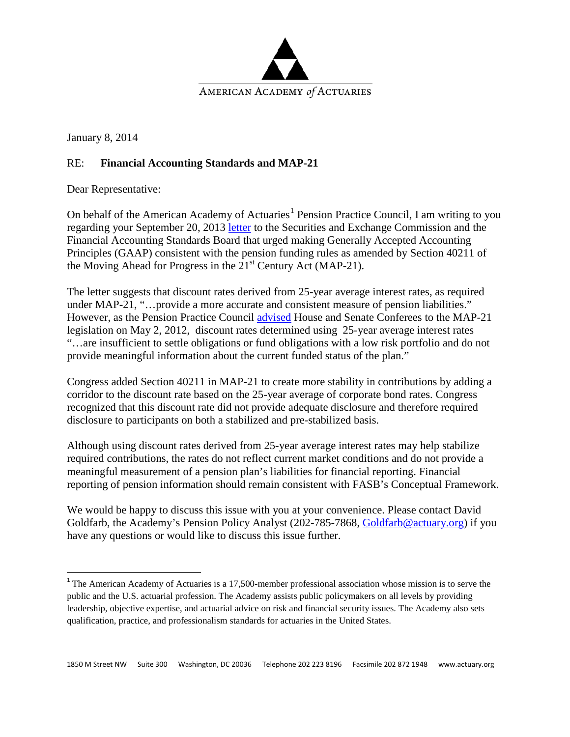

January 8, 2014

## RE: **Financial Accounting Standards and MAP-21**

Dear Representative:

On behalf of the American Academy of Actuaries<sup>[1](#page-0-0)</sup> Pension Practice Council, I am writing to you regarding your September 20, 2013 [letter](http://www.fasb.org/cs/BlobServer?blobkey=id&blobnocache=true&blobwhere=1175827653577&blobheader=application%2Fpdf&blobcol=urldata&blobtable=MungoBlobs) to the Securities and Exchange Commission and the Financial Accounting Standards Board that urged making Generally Accepted Accounting Principles (GAAP) consistent with the pension funding rules as amended by Section 40211 of the Moving Ahead for Progress in the  $21<sup>st</sup>$  Century Act (MAP-21).

The letter suggests that discount rates derived from 25-year average interest rates, as required under MAP-21, "...provide a more accurate and consistent measure of pension liabilities." However, as the Pension Practice Council [advised](http://www.actuary.org/files/Letter%20on%20Funding%20Stabilization%20V10%20Merge%20Comments_Conferees_05_02_2012.pdf) House and Senate Conferees to the MAP-21 legislation on May 2, 2012, discount rates determined using 25-year average interest rates "…are insufficient to settle obligations or fund obligations with a low risk portfolio and do not provide meaningful information about the current funded status of the plan."

Congress added Section 40211 in MAP-21 to create more stability in contributions by adding a corridor to the discount rate based on the 25-year average of corporate bond rates. Congress recognized that this discount rate did not provide adequate disclosure and therefore required disclosure to participants on both a stabilized and pre-stabilized basis.

Although using discount rates derived from 25-year average interest rates may help stabilize required contributions, the rates do not reflect current market conditions and do not provide a meaningful measurement of a pension plan's liabilities for financial reporting. Financial reporting of pension information should remain consistent with FASB's Conceptual Framework.

We would be happy to discuss this issue with you at your convenience. Please contact David Goldfarb, the Academy's Pension Policy Analyst (202-785-7868, [Goldfarb@actuary.org\)](mailto:Goldfarb@actuary.org) if you have any questions or would like to discuss this issue further.

<span id="page-0-0"></span><sup>&</sup>lt;sup>1</sup> The American Academy of Actuaries is a 17,500-member professional association whose mission is to serve the public and the U.S. actuarial profession. The Academy assists public policymakers on all levels by providing leadership, objective expertise, and actuarial advice on risk and financial security issues. The Academy also sets qualification, practice, and professionalism standards for actuaries in the United States.